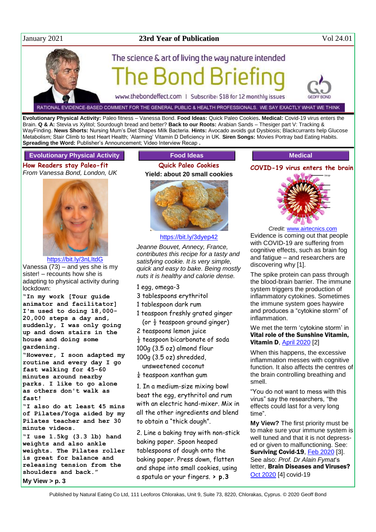

# January 2021 **23rd Year of Publication** Vol 24.01



RATIONAL EVIDENCE-BASED COMMENT FOR THE GENERAL PUBLIC & HEALTH PROFESSIONALS. WE SAY EXACTLY WHAT WE THINK

**Evolutionary Physical Activity:** Paleo fitness – Vanessa Bond. **Food Ideas:** Quick Paleo Cookies**. Medical:** Covid-19 virus enters the Brain. **Q & A:** Stevia vs Xylitol; Sourdough bread and better? **Back to our Roots:** Arabian Sands – Thesiger part V: Tracking & WayFinding. **News Shorts:** Nursing Mum's Diet Shapes Milk Bacteria. **Hints:** Avocado avoids gut Dysbiosis; Blackcurrants help Glucose Metabolism; Stair Climb to test Heart Health; 'Alarming' Vitamin D Deficiency in UK. **Siren Songs:** Movies Portray bad Eating Habits. **Spreading the Word: Publisher's Announcement; Video Interview Recap .** 

## **Evolutionary Physical Activity**

**How Readers stay Paleo-fit** *From Vanessa Bond, London, UK*



<https://bit.ly/3nLItdG>

Vanessa (73) – and yes she is my sister! – recounts how she is adapting to physical activity during lockdown:

**"In my work [Tour guide animator and facilitator] I'm used to doing 18,000- 20,000 steps a day and, suddenly, I was only going up and down stairs in the house and doing some gardening.**

**"However, I soon adapted my routine and every day I go fast walking for 45-60 minutes around nearby parks. I like to go alone as others don't walk as fast!**

**"I also do at least 45 mins of Pilates/Yoga aided by my Pilates teacher and her 30 minute videos.** 

**"I use 1.5kg (3.3 lb) hand weights and also ankle weights. The Pilates roller is great for balance and releasing tension from the shoulders and back." My View > p. 3**

# **Food Ideas**

**Quick Paleo Cookies Yield: about 20 small cookies**



<https://bit.ly/3dyep42>

*Jeanne Bouvet, Annecy, France, contributes this recipe for a tasty and satisfying cookie. It is very simple, quick and easy to bake. Being mostly nuts it is healthy and calorie dense.*

- 1 egg, omega-3
- 3 tablespoons erythritol
- 1 tablespoon dark rum
- 1 teaspoon freshly grated ginger
- (or  $\frac{1}{2}$  teaspoon ground ginger) 2 teaspoons lemon juice
- 
- $\frac{1}{2}$  teaspoon bicarbonate of soda
- 100g (3.5 oz) almond flour 100g (3.5 oz) shredded,

unsweetened coconut

 $\frac{1}{4}$  teaspoon xanthan gum

1. In a medium-size mixing bowl beat the egg, erythritol and rum with an electric hand-mixer. Mix in all the other ingredients and blend to obtain a "thick dough".

2. Line a baking tray with non-stick baking paper. Spoon heaped tablespoons of dough onto the baking paper. Press down, flatten and shape into small cookies, using a spatula or your fingers. **> p.3**

# **Medical COVID-19 virus enters the brain**



*Credit:* [www.airtecnics.com](http://www.airtecnics.com/)

Evidence is coming out that people with COVID-19 are suffering from cognitive effects, such as brain fog and fatigue – and researchers are discovering why [1].

The spike protein can pass through the blood-brain barrier. The immune system triggers the production of inflammatory cytokines. Sometimes the immune system goes haywire and produces a "cytokine storm" of inflammation.

We met the term 'cytokine storm' in Vital role of the Sunshine Vitamin, **Vitamin D, [April 2020](http://www.naturaleater.com/NEWSLETTER-ARCHIVE/NEWS-2020/news-2020-04.pdf)** [2]

When this happens, the excessive inflammation messes with cognitive function. It also affects the centres of the brain controlling breathing and smell.

"You do not want to mess with this virus" say the researchers, "the effects could last for a very long time".

**My View?** The first priority must be to make sure your immune system is well tuned and that it is not depressed or given to malfunctioning. See: Surviving Covid-19, [Feb 2020](http://www.naturaleater.com/newsletter-archive/NEWS-2020/NEWS-2020-02.pdf) [3]. See also: *Prof. Dr Alain Fymat*'s letter, Brain Diseases and Viruses? [Oct 2020](http://www.naturaleater.com/newsletter-archive/NEWS-2020/NEWS-2020-10.pdf) [4] covid-19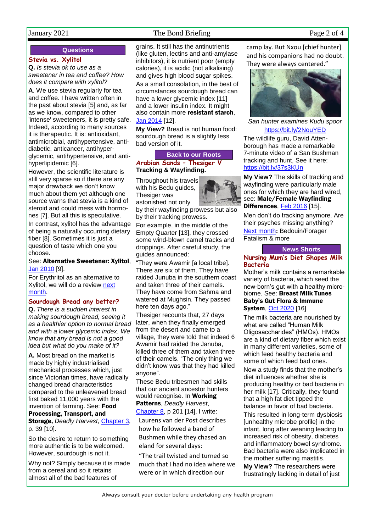# January 2021 The Bond Briefing Page 2 of 4

## **Questions**

## **Stevia vs. Xylitol**

**Q.** *Is stevia ok to use as a sweetener in tea and coffee? How does it compare with xylitol?*

**A**. We use stevia regularly for tea and coffee. I have written often in the past about stevia [5] and, as far as we know, compared to other 'intense' sweeteners, it is pretty safe. Indeed, according to many sources it is therapeutic. It is: antioxidant, antimicrobial, antihypertensive, antidiabetic, anticancer, antihyperglycemic, antihypertensive, and antihyperlipidemic [6].

However, the scientific literature is still very sparse so if there are any major drawback we don't know much about them yet although one source warns that stevia is a kind of steroid and could mess with hormones [7]. But all this is speculative. In contrast, xylitol has the advantage

of being a naturally occurring dietary fiber [8]. Sometimes it is just a question of taste which one you choose.

## See: Alternative Sweetener: Xylitol, [Jan 2010](http://www.naturaleater.com/newsletter-archive/NEWS-2010/NEWS-2010-01.pdf) [9].

For Erythritol as an alternative to Xylitol, we will do a review next [month.](http://www.naturaleater.com/newsletter-archive/NEWS-2021/NEWS-2021-02.pdf)

## **Sourdough Bread any better?**

**Q.** *There is a sudden interest in making sourdough bread, seeing it as a healthier option to normal bread and with a lower glycemic index. We know that any bread is not a good idea but what do you make of it?*

**A.** Most bread on the market is made by highly industrialised mechanical processes which, just since Victorian times, have radically changed bread characteristics compared to the unleavened bread first baked 11,000 years with the invention of farming. See: Food

# Processing, Transport, and

Storage, *Deadly Harvest*, [Chapter](http://www.naturaleater.com/Deadly-Harvest/web-edition/30-Deadly-Harvest-chapter3.htm) 3, p. 39 [10].

So the desire to return to something more authentic is to be welcomed. However, sourdough is not it.

Why not? Simply because it is made from a cereal and so it retains almost all of the bad features of

grains. It still has the antinutrients (like gluten, lectins and anti-amylase inhibitors), it is nutrient poor (empty calories), it is acidic (not alkalising) and gives high blood sugar spikes.

As a small consolation, in the best of circumstances sourdough bread can have a lower glycemic index [11] and a lower insulin index. It might also contain more resistant starch, [Jan 2014](http://www.naturaleater.com/newsletter-archive/NEWS-2014/NEWS-2014-01.pdf) [12].

**My View?** Bread is not human food: sourdough bread is a slightly less bad version of it.

# **Back to our Roots**

**Arabian Sands – Thesiger V Tracking & Wayfinding.** 

Throughout his travels with his Bedu guides, Thesiger was astonished not only



For example, in the middle of the Empty Quarter [13], they crossed some wind-blown camel tracks and droppings. After careful study, the guides announced:

"They were Awamir [a local tribe]. There are six of them. They have raided Junuba in the southern coast and taken three of their camels. They have come from Sahma and watered at Mughsin. They passed here ten days ago."

Thesiger recounts that, 27 days later, when they finally emerged from the desert and came to a village, they were told that indeed 6 Awamir had raided the Januba, killed three of them and taken three of their camels. "The only thing we didn't know was that they had killed anyone".

These Bedu tribesmen had skills that our ancient ancestor hunters would recognise. In Working Patterns, *Deadly Harvest*, [Chapter](http://bit.ly/ch-8) 8, p 201 [14], I write:

Laurens van der Post describes how he followed a band of Bushmen while they chased an eland for several days:

"The trail twisted and turned so much that I had no idea where we were or in which direction our

camp lay. But Nxou [chief hunter] and his companions had no doubt. They were always centered."



*San hunter examines Kudu spoor* <https://bit.ly/2NouYED>

The wildlife guru, David Attenborough has made a remarkable 7-minute video of a San Bushman tracking and hunt, See it here: <https://bit.ly/37s3KUn>

**My View?** The skills of tracking and wayfinding were particularly male ones for which they are hard wired, see: Male/Female Wayfinding Differences, [Feb 2016](http://www.naturaleater.com/newsletter-archive/news-2016/news-2016-02.pdf) [15].

Men don't do tracking anymore. Are their psyches missing anything? [Next month](http://www.naturaleater.com/newsletter-archive/NEWS-2021/NEWS-2021-02.pdf)**:** Bedouin/Forager Fatalism & more

## **News Shorts**

## **Nursing Mum's Diet Shapes Milk Bacteria**

Mother's milk contains a remarkable variety of bacteria, which seed the new-born's gut with a healthy microbiome. See: Breast Milk Tunes Baby's Gut Flora & Immune **System, [Oct 2020](https://bit.ly/3qEdgM1) [16]** 

The milk bacteria are nourished by what are called "Human Milk Oligosaccharides" (HMOs). HMOs are a kind of dietary fiber which exist in many different varieties, some of which feed healthy bacteria and some of which feed bad ones.

Now a study finds that the mother's diet influences whether she is producing healthy or bad bacteria in her milk [17]. Critically, they found that a high fat diet tipped the balance in favor of bad bacteria.

This resulted in long-term dysbiosis [unhealthy microbe profile] in the infant, long after weaning leading to increased risk of obesity, diabetes and inflammatory bowel syndrome. Bad bacteria were also implicated in the mother suffering mastitis.

**My View?** The researchers were frustratingly lacking in detail of just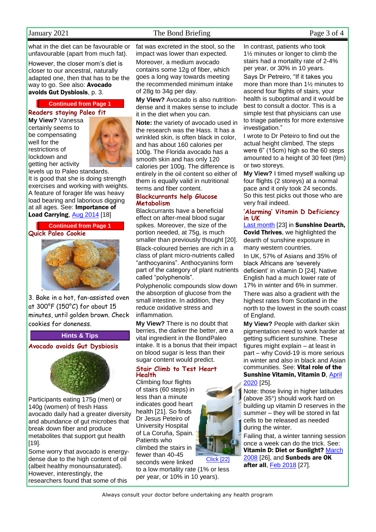# January 2021 The Bond Briefing Page 3 of 4

what in the diet can be favourable or unfavourable (apart from much fat).

However, the closer mom's diet is closer to our ancestral, naturally adapted one, then that has to be the way to go. See also: **Avocado** avoids Gut Dysbiosis, p. 3.

#### **Continued from Page 1**

**Readers staying Paleo fit**

**My View?** Vanessa certainly seems to be compensating well for the restrictions of lockdown and getting her activity



levels up to Paleo standards. It is good that she is doing strength exercises and working with weights. A feature of forager life was heavy load bearing and laborious digging at all ages. See: Importance of Load Carrying, [Aug 2014](http://www.naturaleater.com/newsletter-archive/news-2014/news-2014-08.pdf) [18]



3. Bake in a hot, fan-assisted oven at 300°F (150°C) for about 15 minutes, until golden brown. Check cookies for doneness.

#### **Hints & Tips**

**Avocado avoids Gut Dysbiosis**



Participants eating 175g (men) or 140g (women) of fresh Hass avocado daily had a greater diversity and abundance of gut microbes that break down fiber and produce metabolites that support gut health [19].

Some worry that avocado is energydense due to the high content of oil (albeit healthy monounsaturated). However, interestingly, the researchers found that some of this

fat was excreted in the stool, so the impact was lower than expected. Moreover, a medium avocado contains some 12g of fiber, which goes a long way towards meeting the recommended minimum intake of 28g to 34g per day.

**My View?** Avocado is also nutritiondense and it makes sense to include it in the diet when you can.

**Note:** the variety of avocado used in the research was the Hass. It has a wrinkled skin, is often black in color, and has about 160 calories per 100g. The Florida avocado has a smooth skin and has only 120 calories per 100g. The difference is entirely in the oil content so either of them is equally valid in nutritional terms and fiber content.

### **Blackcurrants help Glucose Metabolism**

Blackcurrants have a beneficial effect on after-meal blood sugar spikes. Moreover, the size of the portion needed, at 75g, is much smaller than previously thought [20]. Black-coloured berries are rich in a class of plant micro-nutrients called "anthocyanins". Anthocyanins form part of the category of plant nutrients called "polyphenols".

Polyphenolic compounds slow down the absorption of glucose from the small intestine. In addition, they reduce oxidative stress and inflammation.

**My View?** There is no doubt that berries, the darker the better, are a vital ingredient in the BondPaleo intake. It is a bonus that their impact on blood sugar is less than their sugar content would predict.

### **Stair Climb to Test Heart Health**

Climbing four flights of stairs (60 steps) in less than a minute indicates good heart health [21]. So finds Dr Jesus Peteiro of University Hospital of La Coruña, Spain. Patients who climbed the stairs in fewer than 40-45 seconds were linked [Click \[22\]](https://bit.ly/3qFaAh4)

to a low mortality rate (1% or less per year, or 10% in 10 years).



In contrast, patients who took 1½ minutes or longer to climb the stairs had a mortality rate of 2-4% per year, or 30% in 10 years. Says Dr Petreiro, "If it takes you more than more than 1½ minutes to ascend four flights of stairs, your health is suboptimal and it would be best to consult a doctor. This is a simple test that physicians can use to triage patients for more extensive investigation."

I wrote to Dr Peteiro to find out the actual height climbed. The steps were 6" (15cm) high so the 60 steps amounted to a height of 30 feet (9m) or two storeys.

**My View?** I timed myself walking up four flights (2 storeys) at a normal pace and it only took 24 seconds. So this test picks out those who are very frail indeed.

#### **'Alarming' Vitamin D Deficiency in UK**

[Last month](http://www.naturaleater.com/newsletter-archive/NEWS-2020/NEWS-2020-12.pdf) [23] in Sunshine Dearth, Covid Thrives, we highlighted the dearth of sunshine exposure in many western countries.

In UK, 57% of Asians and 35% of black Africans are 'severely deficient' in vitamin D [24]. Native English had a much lower rate of 17% in winter and 6% in summer.

There was also a gradient with the highest rates from Scotland in the north to the lowest in the south coast of England.

**My View?** People with darker skin pigmentation need to work harder at getting sufficient sunshine. These figures might explain – at least in part – why Covid-19 is more serious in winter and also in black and Asian communities. See: Vital role of the Sunshine Vitamin, Vitamin D, [April](http://www.naturaleater.com/NEWSLETTER-ARCHIVE/NEWS-2020/news-2020-04.pdf)  [2020](http://www.naturaleater.com/NEWSLETTER-ARCHIVE/NEWS-2020/news-2020-04.pdf) [25].

Note: those living in higher latitudes (above 35°) should work hard on building up vitamin D reserves in the summer – they will be stored in fat cells to be released as needed during the winter.

Failing that, a winter tanning session once a week can do the trick. See: Vitamin D: Diet or Sunlight? [March](http://bit.ly/2oZOCGT)  [2008](http://bit.ly/2oZOCGT) [26], and **Sunbeds are OK** after all, [Feb 2018](http://bit.ly/2FWqz2H) [27].